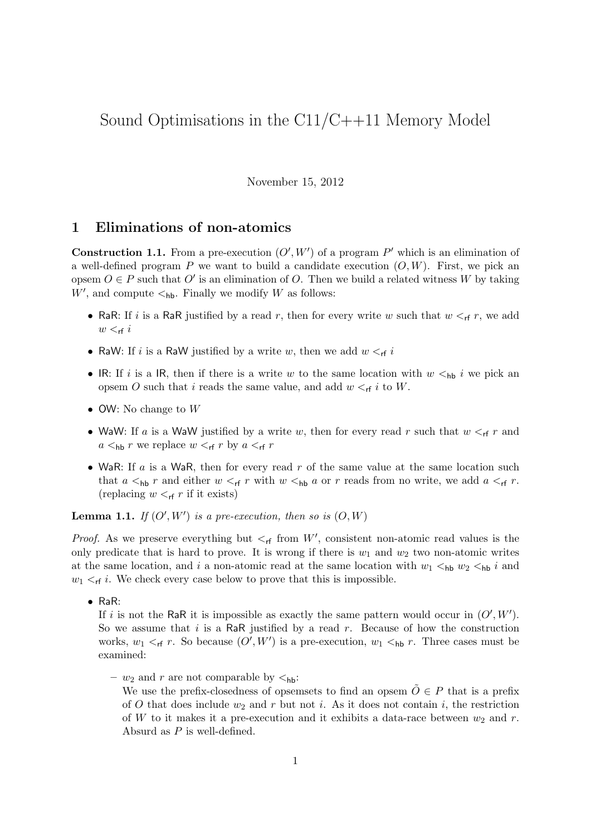# Sound Optimisations in the C11/C++11 Memory Model

November 15, 2012

#### 1 Eliminations of non-atomics

**Construction 1.1.** From a pre-execution  $(O', W')$  of a program P' which is an elimination of a well-defined program  $P$  we want to build a candidate execution  $(O, W)$ . First, we pick an opsem  $O \in P$  such that  $O'$  is an elimination of O. Then we build a related witness W by taking  $W'$ , and compute  $\lt_{hb}$ . Finally we modify W as follows:

- RaR: If i is a RaR justified by a read r, then for every write w such that  $w <_{rf} r$ , we add  $w <$ <sub>rf</sub> i
- RaW: If i is a RaW justified by a write w, then we add  $w <_{rf} i$
- IR: If i is a IR, then if there is a write w to the same location with  $w <_{hb} i$  we pick an opsem O such that i reads the same value, and add  $w <_{\sf rf} i$  to W.
- OW: No change to W
- WaW: If a is a WaW justified by a write w, then for every read r such that  $w <_{\sf rf} r$  and  $a \leq_{\text{hb}} r$  we replace  $w \leq_{\text{rf}} r$  by  $a \leq_{\text{rf}} r$
- WaR: If  $a$  is a WaR, then for every read r of the same value at the same location such that  $a <_{hb} r$  and either  $w <_{rf} r$  with  $w <_{hb} a$  or r reads from no write, we add  $a <_{rf} r$ . (replacing  $w <_{\sf rf} r$  if it exists)

**Lemma 1.1.** If  $(O', W')$  is a pre-execution, then so is  $(O, W)$ 

*Proof.* As we preserve everything but  $\lt_{rf}$  from W', consistent non-atomic read values is the only predicate that is hard to prove. It is wrong if there is  $w_1$  and  $w_2$  two non-atomic writes at the same location, and i a non-atomic read at the same location with  $w_1 <_{hb} w_2 <_{hb} i$  and  $w_1 \lt_{\sf rf} i$ . We check every case below to prove that this is impossible.

• RaR:

If i is not the RaR it is impossible as exactly the same pattern would occur in  $(O', W')$ . So we assume that  $i$  is a RaR justified by a read  $r$ . Because of how the construction works,  $w_1 <_{\sf rf} r$ . So because  $(O', W')$  is a pre-execution,  $w_1 <_{\sf hb} r$ . Three cases must be examined:

- $w_2$  and r are not comparable by  $\lt_{hb}$ :
	- We use the prefix-closedness of opsemsets to find an opsem  $\tilde{O} \in P$  that is a prefix of O that does include  $w_2$  and r but not i. As it does not contain i, the restriction of W to it makes it a pre-execution and it exhibits a data-race between  $w_2$  and r. Absurd as P is well-defined.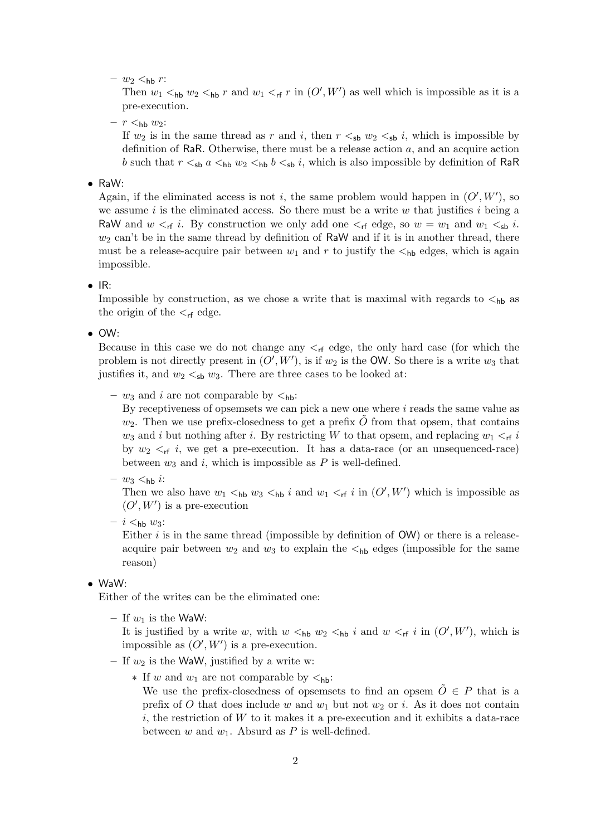$- w_2 <_{\text{hb}} r$ :

Then  $w_1$   $\lt_{hh}$   $w_2$   $\lt_{hh}$  r and  $w_1$   $\lt_{rf}$  r in  $(O', W')$  as well which is impossible as it is a pre-execution.

 $- r <sub>hb</sub> w<sub>2</sub>:$ 

If  $w_2$  is in the same thread as r and i, then  $r \leq_{\text{sb}} w_2 \leq_{\text{sb}} i$ , which is impossible by definition of RaR. Otherwise, there must be a release action  $a$ , and an acquire action b such that  $r \leq_{\text{sb}} a \leq_{\text{hb}} w_2 \leq_{\text{hb}} b \leq_{\text{sb}} i$ , which is also impossible by definition of RaR

• RaW:

Again, if the eliminated access is not i, the same problem would happen in  $(O', W')$ , so we assume  $i$  is the eliminated access. So there must be a write  $w$  that justifies  $i$  being a RaW and  $w <_{rf} i$ . By construction we only add one  $\lt_{rf}$  edge, so  $w = w_1$  and  $w_1 <_{sb} i$ .  $w_2$  can't be in the same thread by definition of RaW and if it is in another thread, there must be a release-acquire pair between  $w_1$  and r to justify the  $\lt_{hb}$  edges, which is again impossible.

 $\bullet$  IR:

Impossible by construction, as we chose a write that is maximal with regards to  $\lt_{hb}$  as the origin of the  $\lt_{rf}$  edge.

• OW:

Because in this case we do not change any  $\lt_{rf}$  edge, the only hard case (for which the problem is not directly present in  $(O', W')$ , is if  $w_2$  is the OW. So there is a write  $w_3$  that justifies it, and  $w_2 <_{sb} w_3$ . There are three cases to be looked at:

–  $w_3$  and i are not comparable by  $\lt_{hb}$ :

By receptiveness of opsemsets we can pick a new one where  $i$  reads the same value as  $w_2$ . Then we use prefix-closedness to get a prefix  $\hat{O}$  from that opsem, that contains  $w_3$  and i but nothing after i. By restricting W to that opsem, and replacing  $w_1 <_{\sf rf} i$ by  $w_2 <$ <sub>rf</sub> i, we get a pre-execution. It has a data-race (or an unsequenced-race) between  $w_3$  and i, which is impossible as P is well-defined.

 $- w_3 <_{\text{hb}} i$ :

Then we also have  $w_1 <_{hb} w_3 <_{hb} i$  and  $w_1 <_{rf} i$  in  $(O', W')$  which is impossible as  $(O', W')$  is a pre-execution

 $- i <sub>hb</sub> w<sub>3</sub>:$ 

Either  $i$  is in the same thread (impossible by definition of  $OW$ ) or there is a releaseacquire pair between  $w_2$  and  $w_3$  to explain the  $\lt_{hb}$  edges (impossible for the same reason)

• WaW:

Either of the writes can be the eliminated one:

– If  $w_1$  is the WaW:

It is justified by a write w, with  $w <_{hb} w_2 <_{hb} i$  and  $w <_{rf} i$  in  $(O', W')$ , which is impossible as  $(O', W')$  is a pre-execution.

- If  $w_2$  is the WaW, justified by a write w:
	- ∗ If w and w<sup>1</sup> are not comparable by <hb:
		- We use the prefix-closedness of opsemsets to find an opsem  $\ddot{O} \in P$  that is a prefix of O that does include w and  $w_1$  but not  $w_2$  or i. As it does not contain  $i$ , the restriction of  $W$  to it makes it a pre-execution and it exhibits a data-race between w and  $w_1$ . Absurd as P is well-defined.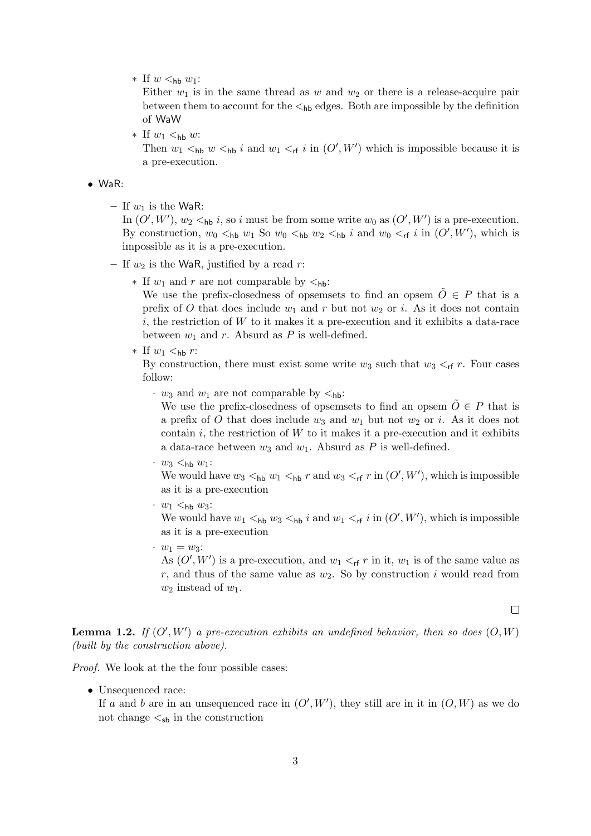∗ If  $w <_{hb} w_1$ :

Either  $w_1$  is in the same thread as w and  $w_2$  or there is a release-acquire pair between them to account for the  $\lt_{hb}$  edges. Both are impossible by the definition of WaW

 $∗$  If  $w_1 <$ <sub>hb</sub> w:

Then  $w_1$   $\lt_{hb}$   $w \lt_{hb} i$  and  $w_1 \lt_{rf} i$  in  $(O', W')$  which is impossible because it is a pre-execution.

#### • WaR:

– If  $w_1$  is the WaR:

In  $(O', W')$ ,  $w_2 <_{\text{hb}} i$ , so i must be from some write  $w_0$  as  $(O', W')$  is a pre-execution. By construction,  $w_0 <_{hb} w_1$  So  $w_0 <_{hb} w_2 <_{hb} i$  and  $w_0 <_{rf} i$  in  $(O', W')$ , which is impossible as it is a pre-execution.

- If  $w_2$  is the WaR, justified by a read r:
	- $∗$  If  $w_1$  and r are not comparable by  $lt_{hb}$ :

We use the prefix-closedness of opsemsets to find an opsem  $O \in P$  that is a prefix of O that does include  $w_1$  and r but not  $w_2$  or i. As it does not contain  $i$ , the restriction of  $W$  to it makes it a pre-execution and it exhibits a data-race between  $w_1$  and r. Absurd as P is well-defined.

\* If 
$$
w_1 <_{\text{hb}} r
$$
:

By construction, there must exist some write  $w_3$  such that  $w_3 <_{\sf rf} r$ . Four cases follow:

 $\cdot$   $w_3$  and  $w_1$  are not comparable by  $\lt_{hb}$ :

We use the prefix-closedness of opsemsets to find an opsem  $\tilde{O} \in P$  that is a prefix of O that does include  $w_3$  and  $w_1$  but not  $w_2$  or i. As it does not contain i, the restriction of  $W$  to it makes it a pre-execution and it exhibits a data-race between  $w_3$  and  $w_1$ . Absurd as P is well-defined.

 $\cdot w_3$   $\lt_{\text{hb}} w_1$ :

We would have  $w_3 <$ <sub>hb</sub>  $w_1 <$ <sub>hb</sub>  $r$  and  $w_3 <$ <sub>rf</sub>  $r$  in  $(O', W')$ , which is impossible as it is a pre-execution

 $\cdot w_1$   $\lt_{hb} w_3$ :

We would have  $w_1 <_{hb} w_3 <_{hb} i$  and  $w_1 <_{rf} i$  in  $(O', W')$ , which is impossible as it is a pre-execution

 $\cdot \; w_1 = w_3$ :

As  $(O', W')$  is a pre-execution, and  $w_1 <_{rf} r$  in it,  $w_1$  is of the same value as r, and thus of the same value as  $w_2$ . So by construction i would read from  $w_2$  instead of  $w_1$ .

 $\Box$ 

**Lemma 1.2.** If  $(O', W')$  a pre-execution exhibits an undefined behavior, then so does  $(O, W)$ (built by the construction above).

Proof. We look at the the four possible cases:

• Unsequenced race:

If a and b are in an unsequenced race in  $(O', W')$ , they still are in it in  $(O, W)$  as we do not change  $\lt_{sb}$  in the construction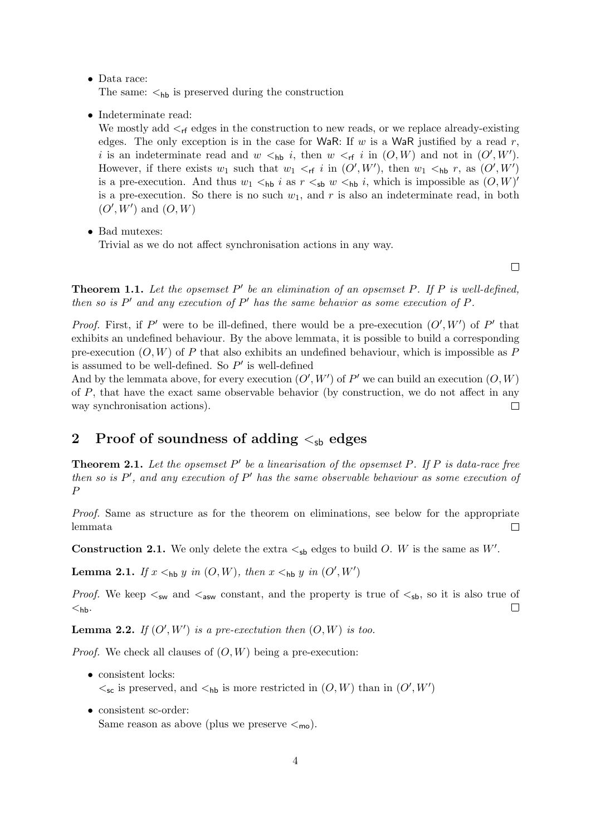#### • Data race:

The same:  $\lt_{hb}$  is preserved during the construction

• Indeterminate read:

We mostly add  $\leq_{\sf rf}$  edges in the construction to new reads, or we replace already-existing edges. The only exception is in the case for WaR: If  $w$  is a WaR justified by a read  $r$ , i is an indeterminate read and  $w <_{hb} i$ , then  $w <_{rf} i$  in  $(O, W)$  and not in  $(O', W')$ . However, if there exists  $w_1$  such that  $w_1 <_{\sf rf} i$  in  $(O', W')$ , then  $w_1 <_{\sf hb} r$ , as  $(O', W')$ is a pre-execution. And thus  $w_1 <_{hb} i$  as  $r <_{sb} w <_{hb} i$ , which is impossible as  $(O, W)$ is a pre-execution. So there is no such  $w_1$ , and r is also an indeterminate read, in both  $(O', W')$  and  $(O, W)$ 

• Bad mutexes:

Trivial as we do not affect synchronisation actions in any way.

 $\Box$ 

**Theorem 1.1.** Let the opsemset  $P'$  be an elimination of an opsemset P. If P is well-defined, then so is  $P'$  and any execution of  $P'$  has the same behavior as some execution of  $P$ .

*Proof.* First, if P' were to be ill-defined, there would be a pre-execution  $(O', W')$  of P' that exhibits an undefined behaviour. By the above lemmata, it is possible to build a corresponding pre-execution  $(O, W)$  of P that also exhibits an undefined behaviour, which is impossible as P is assumed to be well-defined. So  $P'$  is well-defined

And by the lemmata above, for every execution  $(O', W')$  of P' we can build an execution  $(O, W)$ of P, that have the exact same observable behavior (by construction, we do not affect in any way synchronisation actions).  $\Box$ 

### 2 Proof of soundness of adding  $\lt_{\text{sh}}$  edges

**Theorem 2.1.** Let the opsemset  $P'$  be a linearisation of the opsemset P. If P is data-race free then so is  $P'$ , and any execution of  $P'$  has the same observable behaviour as some execution of P

Proof. Same as structure as for the theorem on eliminations, see below for the appropriate lemmata  $\Box$ 

**Construction 2.1.** We only delete the extra  $\lt_{sb}$  edges to build O. W is the same as W'.

**Lemma 2.1.** If  $x \leq_{\text{hb}} y$  in  $(O, W)$ , then  $x \leq_{\text{hb}} y$  in  $(O', W')$ 

*Proof.* We keep  $\lt_{sw}$  and  $\lt_{asw}$  constant, and the property is true of  $\lt_{sb}$ , so it is also true of  $\Box$  $<$ hb.

**Lemma 2.2.** If  $(O', W')$  is a pre-exectution then  $(O, W)$  is too.

*Proof.* We check all clauses of  $(O, W)$  being a pre-execution:

- consistent locks:  $\lt_{\textsf{sc}}$  is preserved, and  $\lt_{\textsf{hb}}$  is more restricted in  $(O, W)$  than in  $(O', W')$
- consistent sc-order: Same reason as above (plus we preserve  $\lt_{\text{mo}}$ ).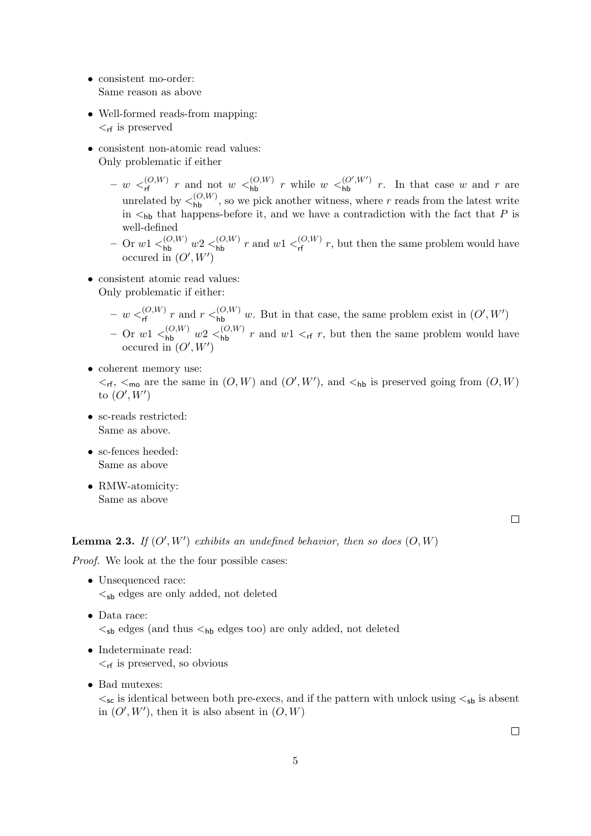- consistent mo-order: Same reason as above
- Well-formed reads-from mapping:  $\lt_{rf}$  is preserved
- consistent non-atomic read values: Only problematic if either
	- $-w <_{\sf rf}^{(O,W)} r$  and not  $w <_{\sf hb}^{(O,W)} r$  while  $w <_{\sf hb}^{(O',W')} r$ . In that case w and r are unrelated by  $\lt_{\mathsf{hb}}^{(O,W)}$ , so we pick another witness, where r reads from the latest write in  $\lt_{hb}$  that happens-before it, and we have a contradiction with the fact that P is well-defined
	- $-$  Or  $w1 \leq^{(O,W)}_{\text{hb}} w2 \leq^{(O,W)}_{\text{hb}} r$  and  $w1 \leq^{(O,W)}_{\text{rf}} r$ , but then the same problem would have occured in  $(O', W')$
- consistent atomic read values: Only problematic if either:
	- $-w <_{\sf rf}^{(O,W)} r$  and  $r <_{\sf hb}^{(O,W)} w$ . But in that case, the same problem exist in  $(O', W')$
	- Or  $w1 \leq_{\text{hb}}^{(O,W)} w2 \leq_{\text{hb}}^{(O,W)} r$  and  $w1 \leq_{\text{rf}} r$ , but then the same problem would have occured in  $(O', W')$
- coherent memory use:  $\leq_{\sf rf}$ ,  $\leq_{\sf mo}$  are the same in  $(O, W)$  and  $(O', W')$ , and  $\leq_{\sf hb}$  is preserved going from  $(O, W)$ to  $(O', W')$
- sc-reads restricted: Same as above.
- sc-fences heeded: Same as above
- RMW-atomicity: Same as above

 $\Box$ 

#### **Lemma 2.3.** If  $(O', W')$  exhibits an undefined behavior, then so does  $(O, W)$

Proof. We look at the the four possible cases:

- Unsequenced race:  $\lt_{sb}$  edges are only added, not deleted
- Data race:  $\lt_{sb}$  edges (and thus  $\lt_{hb}$  edges too) are only added, not deleted
- Indeterminate read:  $\leq_{\sf rf}$  is preserved, so obvious
- Bad mutexes:

 $\lt_{sc}$  is identical between both pre-execs, and if the pattern with unlock using  $\lt_{sb}$  is absent in  $(O', W')$ , then it is also absent in  $(O, W)$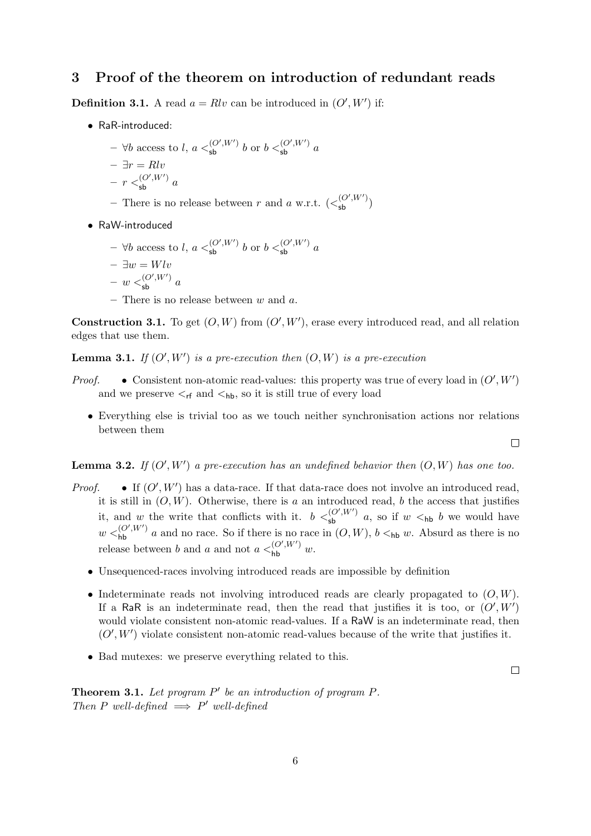## 3 Proof of the theorem on introduction of redundant reads

**Definition 3.1.** A read  $a = Rlv$  can be introduced in  $(O', W')$  if:

- RaR-introduced:
	- ∀b access to l,  $a \leq_{\text{sb}}^{(O',W')} b$  or  $b \leq_{\text{sb}}^{(O',W')} a$
	- $\exists r = Rlv$
	- $r <sub>sb</sub>^{(O',W')} a$
	- There is no release between r and a w.r.t.  $(<^{(O',W')}_{\text{sb}})$
- RaW-introduced
	- ∀b access to l,  $a \leq_{\text{sb}}^{(O',W')} b$  or  $b \leq_{\text{sb}}^{(O',W')} a$  $- \exists w = Wlv$

$$
- w <_{\sf sb}^{(O',W')} a
$$

– There is no release between  $w$  and  $a$ .

**Construction 3.1.** To get  $(O, W)$  from  $(O', W')$ , erase every introduced read, and all relation edges that use them.

**Lemma 3.1.** If  $(O', W')$  is a pre-execution then  $(O, W)$  is a pre-execution

- *Proof.* Consistent non-atomic read-values: this property was true of every load in  $(O', W')$ and we preserve  $\leq_{\sf rf}$  and  $\leq_{\sf hb}$ , so it is still true of every load
	- Everything else is trivial too as we touch neither synchronisation actions nor relations between them

**Lemma 3.2.** If  $(O', W')$  a pre-execution has an undefined behavior then  $(O, W)$  has one too.

- *Proof.* If  $(O', W')$  has a data-race. If that data-race does not involve an introduced read, it is still in  $(O, W)$ . Otherwise, there is a an introduced read, b the access that justifies it, and w the write that conflicts with it.  $b <_{\text{sb}}^{(O',W')} a$ , so if  $w <_{\text{hb}} b$  we would have  $w <_{hb}^{(O',W')}$  a and no race. So if there is no race in  $(O, W)$ ,  $b <_{hb} w$ . Absurd as there is no release between b and a and not  $a <_{\text{hb}}^{(O',W')} w$ .
	- Unsequenced-races involving introduced reads are impossible by definition
	- Indeterminate reads not involving introduced reads are clearly propagated to  $(O, W)$ . If a RaR is an indeterminate read, then the read that justifies it is too, or  $(O', W')$ would violate consistent non-atomic read-values. If a RaW is an indeterminate read, then  $(O', W')$  violate consistent non-atomic read-values because of the write that justifies it.
	- Bad mutexes: we preserve everything related to this.

 $\Box$ 

**Theorem 3.1.** Let program  $P'$  be an introduction of program  $P$ . Then P well-defined  $\implies P'$  well-defined

 $\Box$